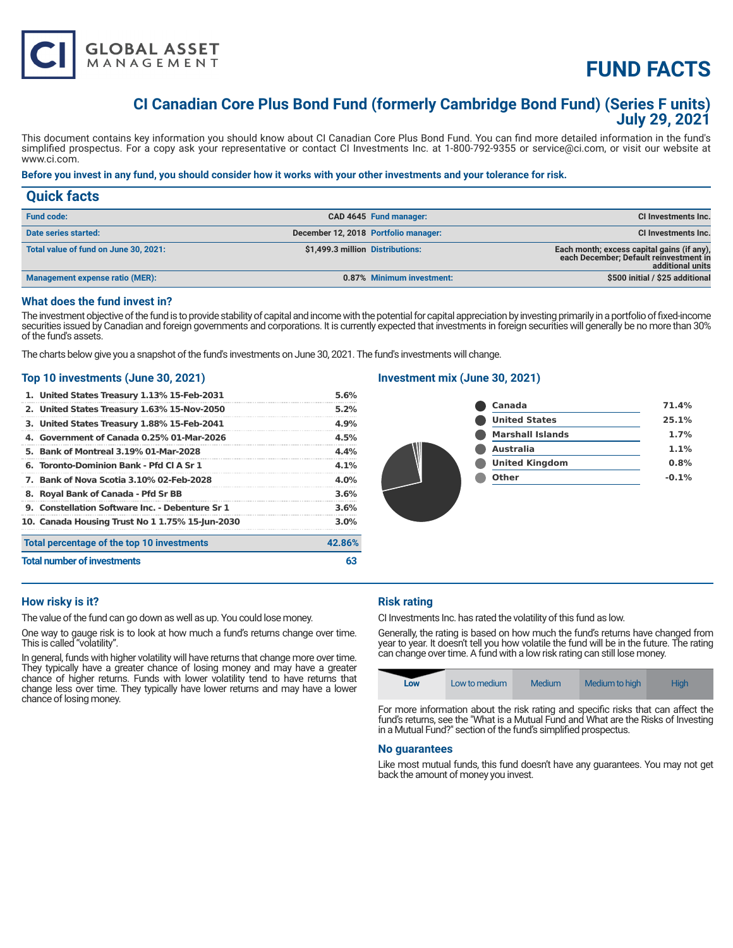

# **FUND FACTS**

# **CI Canadian Core Plus Bond Fund (formerly Cambridge Bond Fund) (Series F units) July 29, 2021**

This document contains key information you should know about CI Canadian Core Plus Bond Fund. You can find more detailed information in the fund's simplified prospectus. For a copy ask your representative or contact CI Investments Inc. at 1-800-792-9355 or service@ci.com, or visit our website at www.ci.com.

# **Before you invest in any fund, you should consider how it works with your other investments and your tolerance for risk.**

| <b>Quick facts</b>                    |                                  |                                      |                                                                                                          |
|---------------------------------------|----------------------------------|--------------------------------------|----------------------------------------------------------------------------------------------------------|
| <b>Fund code:</b>                     |                                  | CAD 4645 Fund manager:               | CI Investments Inc.                                                                                      |
| Date series started:                  |                                  | December 12, 2018 Portfolio manager: | CI Investments Inc.                                                                                      |
| Total value of fund on June 30, 2021: | \$1,499.3 million Distributions: |                                      | Each month; excess capital gains (if any),<br>each December; Default reinvestment in<br>additional units |
| Management expense ratio (MER):       |                                  | 0.87% Minimum investment:            | \$500 initial / \$25 additional                                                                          |

# **What does the fund invest in?**

The investment objective of the fund is to provide stability of capital and income with the potential for capital appreciation by investing primarily in a portfolio of fixed-income securities issued by Canadian and foreign governments and corporations. It is currently expected that investments in foreign securities will generally be no more than 30% of the fund's assets.

The charts below give you a snapshot of the fund's investments on June 30, 2021. The fund's investments will change.

# **Top 10 investments (June 30, 2021)**

| <b>Total number of investments</b>              | 63      |
|-------------------------------------------------|---------|
| Total percentage of the top 10 investments      | 42.86%  |
| 10. Canada Housing Trust No 1 1.75% 15-Jun-2030 | $3.0\%$ |
| 9. Constellation Software Inc. - Debenture Sr 1 | 3.6%    |
| 8. Royal Bank of Canada - Pfd Sr BB             | 3.6%    |
| 7. Bank of Nova Scotia 3.10% 02-Feb-2028        | $4.0\%$ |
| 6. Toronto-Dominion Bank - Pfd Cl A Sr 1        | $4.1\%$ |
| 5. Bank of Montreal 3.19% 01-Mar-2028           | 4.4%    |
| 4. Government of Canada 0.25% 01-Mar-2026       | 4.5%    |
| 3. United States Treasury 1.88% 15-Feb-2041     | 4.9%    |
| 2. United States Treasury 1.63% 15-Nov-2050     | $5.2\%$ |
| 1. United States Treasury 1.13% 15-Feb-2031     | 5.6%    |

# **Investment mix (June 30, 2021)**

| <b>Canada</b>           | 71.4%   |
|-------------------------|---------|
| <b>United States</b>    | 25.1%   |
| <b>Marshall Islands</b> | 1.7%    |
| <b>Australia</b>        | 1.1%    |
| <b>United Kingdom</b>   | 0.8%    |
| Other                   | $-0.1%$ |
|                         |         |

# **How risky is it?**

The value of the fund can go down as well as up. You could lose money.

One way to gauge risk is to look at how much a fund's returns change over time. This is called "volatility".

In general, funds with higher volatility will have returns that change more over time. They typically have a greater chance of losing money and may have a greater chance of higher returns. Funds with lower volatility tend to have returns that change less over time. They typically have lower returns and may have a lower chance of losing money.

# **Risk rating**

CI Investments Inc. has rated the volatility of this fund as low.

Generally, the rating is based on how much the fund's returns have changed from year to year. It doesn't tell you how volatile the fund will be in the future. The rating can change over time. A fund with a low risk rating can still lose money.

|--|

For more information about the risk rating and specific risks that can affect the fund's returns, see the "What is a Mutual Fund and What are the Risks of Investing in a Mutual Fund?" section of the fund's simplified prospectus.

# **No guarantees**

Like most mutual funds, this fund doesn't have any guarantees. You may not get back the amount of money you invest.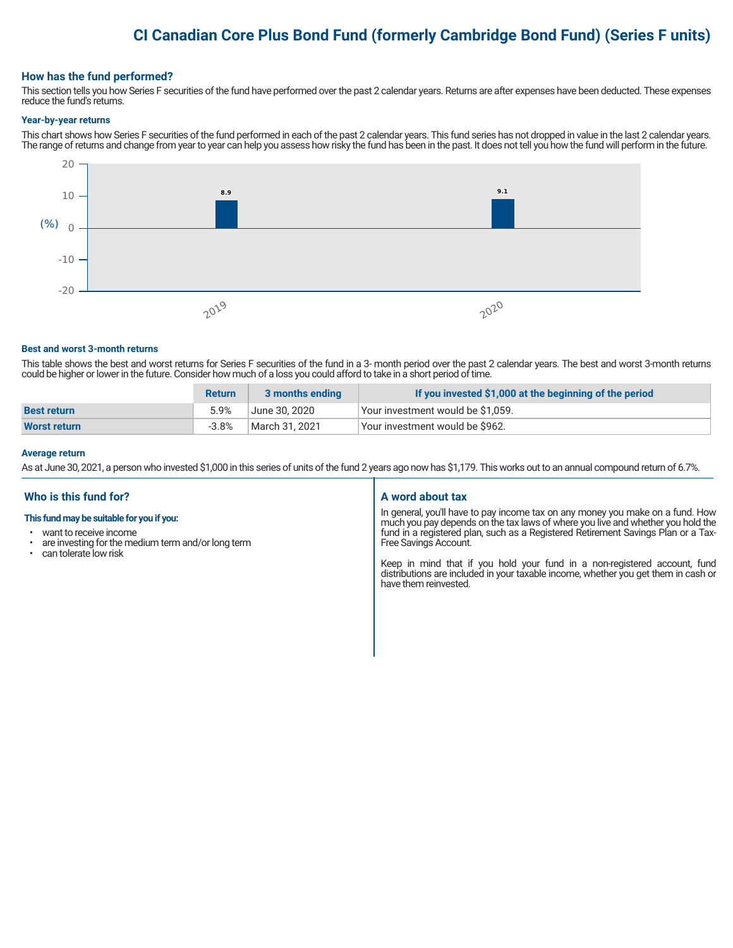# **CI Canadian Core Plus Bond Fund (formerly Cambridge Bond Fund) (Series F units)**

# **How has the fund performed?**

This section tells you how Series F securities of the fund have performed over the past 2 calendar years. Returns are after expenses have been deducted. These expenses reduce the fund's returns.

#### **Year-by-year returns**

This chart shows how Series F securities of the fund performed in each of the past 2 calendar years. This fund series has not dropped in value in the last 2 calendar years. The range of returns and change from year to year can help you assess how risky the fund has been in the past. It does not tell you how the fund will perform in the future.



#### **Best and worst 3-month returns**

This table shows the best and worst returns for Series F securities of the fund in a 3- month period over the past 2 calendar years. The best and worst 3-month returns could be higher or lower in the future. Consider how much of a loss you could afford to take in a short period of time.

|                     | <b>Return</b> | 3 months ending | If you invested \$1,000 at the beginning of the period |
|---------------------|---------------|-----------------|--------------------------------------------------------|
| <b>Best return</b>  | 5.9%          | June 30. 2020   | Vour investment would be \$1,059.                      |
| <b>Worst return</b> | $-3.8%$       | March 31. 2021  | Vour investment would be \$962.                        |

#### **Average return**

As at June 30, 2021, a person who invested \$1,000 in this series of units of the fund 2 years ago now has \$1,179. This works out to an annual compound return of 6.7%.

# **Who is this fund for?**

# **This fund may be suitable for you if you:**

- want to receive income
- are investing for the medium term and/or long term<br>• can telerate low risk
- can tolerate low risk

# **A word about tax**

In general, you'll have to pay income tax on any money you make on a fund. How much you pay depends on the tax laws of where you live and whether you hold the fund in a registered plan, such as a Registered Retirement Savings Plan or a Tax-Free Savings Account.

Keep in mind that if you hold your fund in a non-registered account, fund distributions are included in your taxable income, whether you get them in cash or have them reinvested.